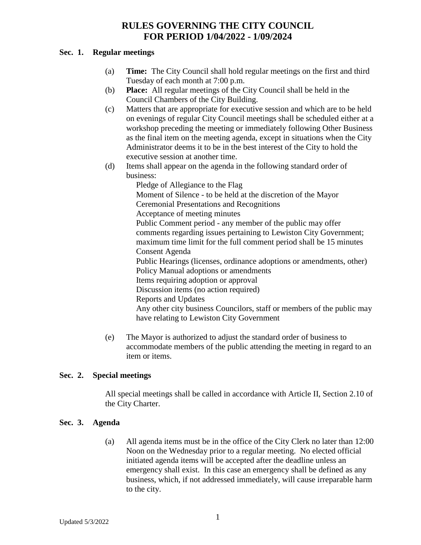#### **Sec. 1. Regular meetings**

- (a) **Time:** The City Council shall hold regular meetings on the first and third Tuesday of each month at 7:00 p.m.
- (b) **Place:** All regular meetings of the City Council shall be held in the Council Chambers of the City Building.
- (c) Matters that are appropriate for executive session and which are to be held on evenings of regular City Council meetings shall be scheduled either at a workshop preceding the meeting or immediately following Other Business as the final item on the meeting agenda, except in situations when the City Administrator deems it to be in the best interest of the City to hold the executive session at another time.
- (d) Items shall appear on the agenda in the following standard order of business:

Pledge of Allegiance to the Flag Moment of Silence - to be held at the discretion of the Mayor Ceremonial Presentations and Recognitions Acceptance of meeting minutes Public Comment period - any member of the public may offer comments regarding issues pertaining to Lewiston City Government; maximum time limit for the full comment period shall be 15 minutes Consent Agenda Public Hearings (licenses, ordinance adoptions or amendments, other) Policy Manual adoptions or amendments Items requiring adoption or approval Discussion items (no action required) Reports and Updates Any other city business Councilors, staff or members of the public may have relating to Lewiston City Government

(e) The Mayor is authorized to adjust the standard order of business to accommodate members of the public attending the meeting in regard to an item or items.

## **Sec. 2. Special meetings**

All special meetings shall be called in accordance with Article II, Section 2.10 of the City Charter.

## **Sec. 3. Agenda**

(a) All agenda items must be in the office of the City Clerk no later than 12:00 Noon on the Wednesday prior to a regular meeting. No elected official initiated agenda items will be accepted after the deadline unless an emergency shall exist. In this case an emergency shall be defined as any business, which, if not addressed immediately, will cause irreparable harm to the city.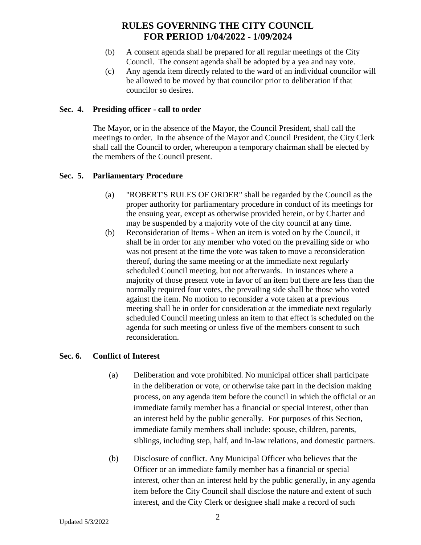- (b) A consent agenda shall be prepared for all regular meetings of the City Council. The consent agenda shall be adopted by a yea and nay vote.
- (c) Any agenda item directly related to the ward of an individual councilor will be allowed to be moved by that councilor prior to deliberation if that councilor so desires.

#### **Sec. 4. Presiding officer - call to order**

The Mayor, or in the absence of the Mayor, the Council President, shall call the meetings to order. In the absence of the Mayor and Council President, the City Clerk shall call the Council to order, whereupon a temporary chairman shall be elected by the members of the Council present.

### **Sec. 5. Parliamentary Procedure**

- (a) "ROBERT'S RULES OF ORDER" shall be regarded by the Council as the proper authority for parliamentary procedure in conduct of its meetings for the ensuing year, except as otherwise provided herein, or by Charter and may be suspended by a majority vote of the city council at any time.
- (b) Reconsideration of Items When an item is voted on by the Council, it shall be in order for any member who voted on the prevailing side or who was not present at the time the vote was taken to move a reconsideration thereof, during the same meeting or at the immediate next regularly scheduled Council meeting, but not afterwards. In instances where a majority of those present vote in favor of an item but there are less than the normally required four votes, the prevailing side shall be those who voted against the item. No motion to reconsider a vote taken at a previous meeting shall be in order for consideration at the immediate next regularly scheduled Council meeting unless an item to that effect is scheduled on the agenda for such meeting or unless five of the members consent to such reconsideration.

#### **Sec. 6. Conflict of Interest**

- (a) Deliberation and vote prohibited. No municipal officer shall participate in the deliberation or vote, or otherwise take part in the decision making process, on any agenda item before the council in which the official or an immediate family member has a financial or special interest, other than an interest held by the public generally. For purposes of this Section, immediate family members shall include: spouse, children, parents, siblings, including step, half, and in-law relations, and domestic partners.
- (b) Disclosure of conflict. Any Municipal Officer who believes that the Officer or an immediate family member has a financial or special interest, other than an interest held by the public generally, in any agenda item before the City Council shall disclose the nature and extent of such interest, and the City Clerk or designee shall make a record of such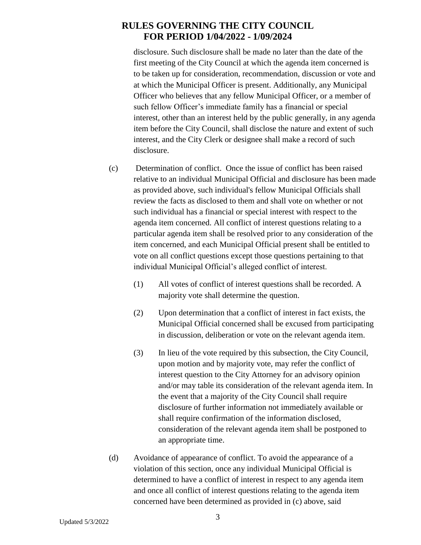disclosure. Such disclosure shall be made no later than the date of the first meeting of the City Council at which the agenda item concerned is to be taken up for consideration, recommendation, discussion or vote and at which the Municipal Officer is present. Additionally, any Municipal Officer who believes that any fellow Municipal Officer, or a member of such fellow Officer's immediate family has a financial or special interest, other than an interest held by the public generally, in any agenda item before the City Council, shall disclose the nature and extent of such interest, and the City Clerk or designee shall make a record of such disclosure.

- (c) Determination of conflict. Once the issue of conflict has been raised relative to an individual Municipal Official and disclosure has been made as provided above, such individual's fellow Municipal Officials shall review the facts as disclosed to them and shall vote on whether or not such individual has a financial or special interest with respect to the agenda item concerned. All conflict of interest questions relating to a particular agenda item shall be resolved prior to any consideration of the item concerned, and each Municipal Official present shall be entitled to vote on all conflict questions except those questions pertaining to that individual Municipal Official's alleged conflict of interest.
	- (1) All votes of conflict of interest questions shall be recorded. A majority vote shall determine the question.
	- (2) Upon determination that a conflict of interest in fact exists, the Municipal Official concerned shall be excused from participating in discussion, deliberation or vote on the relevant agenda item.
	- (3) In lieu of the vote required by this subsection, the City Council, upon motion and by majority vote, may refer the conflict of interest question to the City Attorney for an advisory opinion and/or may table its consideration of the relevant agenda item. In the event that a majority of the City Council shall require disclosure of further information not immediately available or shall require confirmation of the information disclosed, consideration of the relevant agenda item shall be postponed to an appropriate time.
- (d) Avoidance of appearance of conflict. To avoid the appearance of a violation of this section, once any individual Municipal Official is determined to have a conflict of interest in respect to any agenda item and once all conflict of interest questions relating to the agenda item concerned have been determined as provided in (c) above, said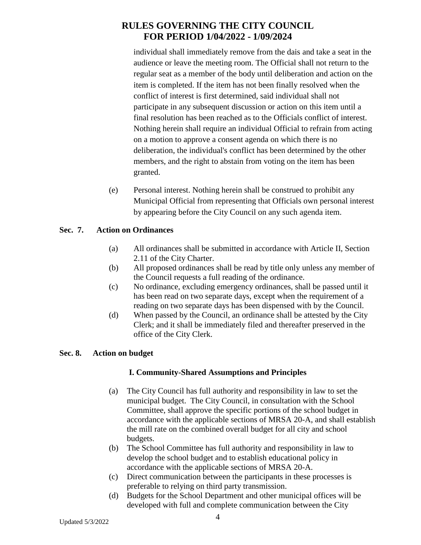individual shall immediately remove from the dais and take a seat in the audience or leave the meeting room. The Official shall not return to the regular seat as a member of the body until deliberation and action on the item is completed. If the item has not been finally resolved when the conflict of interest is first determined, said individual shall not participate in any subsequent discussion or action on this item until a final resolution has been reached as to the Officials conflict of interest. Nothing herein shall require an individual Official to refrain from acting on a motion to approve a consent agenda on which there is no deliberation, the individual's conflict has been determined by the other members, and the right to abstain from voting on the item has been granted.

(e) Personal interest. Nothing herein shall be construed to prohibit any Municipal Official from representing that Officials own personal interest by appearing before the City Council on any such agenda item.

### **Sec. 7. Action on Ordinances**

- (a) All ordinances shall be submitted in accordance with Article II, Section 2.11 of the City Charter.
- (b) All proposed ordinances shall be read by title only unless any member of the Council requests a full reading of the ordinance.
- (c) No ordinance, excluding emergency ordinances, shall be passed until it has been read on two separate days, except when the requirement of a reading on two separate days has been dispensed with by the Council.
- (d) When passed by the Council, an ordinance shall be attested by the City Clerk; and it shall be immediately filed and thereafter preserved in the office of the City Clerk.

## **Sec. 8. Action on budget**

## **I. Community-Shared Assumptions and Principles**

- (a) The City Council has full authority and responsibility in law to set the municipal budget. The City Council, in consultation with the School Committee, shall approve the specific portions of the school budget in accordance with the applicable sections of MRSA 20-A, and shall establish the mill rate on the combined overall budget for all city and school budgets.
- (b) The School Committee has full authority and responsibility in law to develop the school budget and to establish educational policy in accordance with the applicable sections of MRSA 20-A.
- (c) Direct communication between the participants in these processes is preferable to relying on third party transmission.
- (d) Budgets for the School Department and other municipal offices will be developed with full and complete communication between the City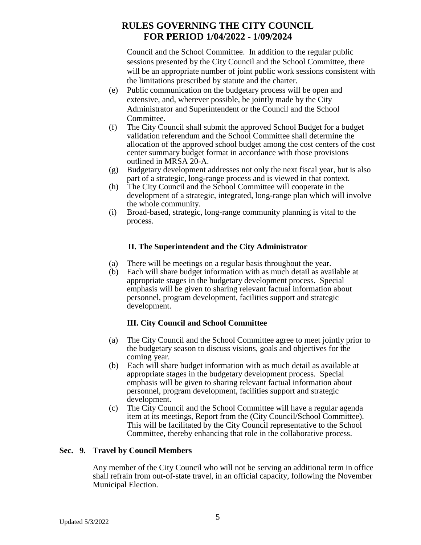Council and the School Committee. In addition to the regular public sessions presented by the City Council and the School Committee, there will be an appropriate number of joint public work sessions consistent with the limitations prescribed by statute and the charter.

- (e) Public communication on the budgetary process will be open and extensive, and, wherever possible, be jointly made by the City Administrator and Superintendent or the Council and the School Committee.
- (f) The City Council shall submit the approved School Budget for a budget validation referendum and the School Committee shall determine the allocation of the approved school budget among the cost centers of the cost center summary budget format in accordance with those provisions outlined in MRSA 20-A.
- (g) Budgetary development addresses not only the next fiscal year, but is also part of a strategic, long-range process and is viewed in that context.
- (h) The City Council and the School Committee will cooperate in the development of a strategic, integrated, long-range plan which will involve the whole community.
- (i) Broad-based, strategic, long-range community planning is vital to the process.

# **II. The Superintendent and the City Administrator**

- (a) There will be meetings on a regular basis throughout the year.
- (b) Each will share budget information with as much detail as available at appropriate stages in the budgetary development process. Special emphasis will be given to sharing relevant factual information about personnel, program development, facilities support and strategic development.

## **III. City Council and School Committee**

- (a) The City Council and the School Committee agree to meet jointly prior to the budgetary season to discuss visions, goals and objectives for the coming year.
- (b) Each will share budget information with as much detail as available at appropriate stages in the budgetary development process. Special emphasis will be given to sharing relevant factual information about personnel, program development, facilities support and strategic development.
- (c) The City Council and the School Committee will have a regular agenda item at its meetings, Report from the (City Council/School Committee). This will be facilitated by the City Council representative to the School Committee, thereby enhancing that role in the collaborative process.

## **Sec. 9. Travel by Council Members**

Any member of the City Council who will not be serving an additional term in office shall refrain from out-of-state travel, in an official capacity, following the November Municipal Election.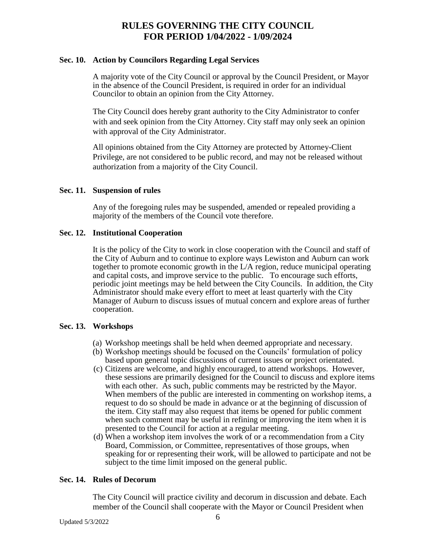#### **Sec. 10. Action by Councilors Regarding Legal Services**

A majority vote of the City Council or approval by the Council President, or Mayor in the absence of the Council President, is required in order for an individual Councilor to obtain an opinion from the City Attorney.

The City Council does hereby grant authority to the City Administrator to confer with and seek opinion from the City Attorney. City staff may only seek an opinion with approval of the City Administrator.

All opinions obtained from the City Attorney are protected by Attorney-Client Privilege, are not considered to be public record, and may not be released without authorization from a majority of the City Council.

#### **Sec. 11. Suspension of rules**

Any of the foregoing rules may be suspended, amended or repealed providing a majority of the members of the Council vote therefore.

#### **Sec. 12. Institutional Cooperation**

It is the policy of the City to work in close cooperation with the Council and staff of the City of Auburn and to continue to explore ways Lewiston and Auburn can work together to promote economic growth in the L/A region, reduce municipal operating and capital costs, and improve service to the public. To encourage such efforts, periodic joint meetings may be held between the City Councils. In addition, the City Administrator should make every effort to meet at least quarterly with the City Manager of Auburn to discuss issues of mutual concern and explore areas of further cooperation.

#### **Sec. 13. Workshops**

- (a) Workshop meetings shall be held when deemed appropriate and necessary.
- (b) Workshop meetings should be focused on the Councils' formulation of policy based upon general topic discussions of current issues or project orientated.
- (c) Citizens are welcome, and highly encouraged, to attend workshops. However, these sessions are primarily designed for the Council to discuss and explore items with each other. As such, public comments may be restricted by the Mayor. When members of the public are interested in commenting on workshop items, a request to do so should be made in advance or at the beginning of discussion of the item. City staff may also request that items be opened for public comment when such comment may be useful in refining or improving the item when it is presented to the Council for action at a regular meeting.
- (d) When a workshop item involves the work of or a recommendation from a City Board, Commission, or Committee, representatives of those groups, when speaking for or representing their work, will be allowed to participate and not be subject to the time limit imposed on the general public.

#### **Sec. 14. Rules of Decorum**

The City Council will practice civility and decorum in discussion and debate. Each member of the Council shall cooperate with the Mayor or Council President when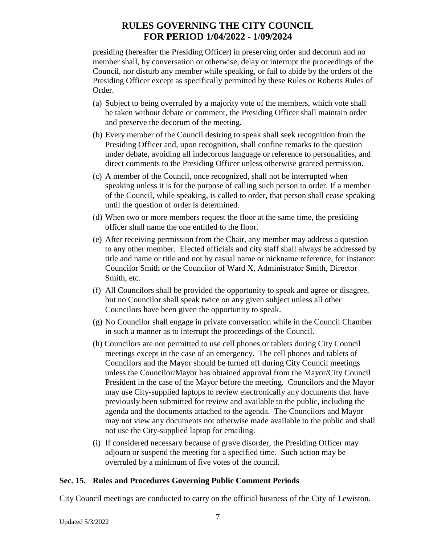presiding (hereafter the Presiding Officer) in preserving order and decorum and no member shall, by conversation or otherwise, delay or interrupt the proceedings of the Council, nor disturb any member while speaking, or fail to abide by the orders of the Presiding Officer except as specifically permitted by these Rules or Roberts Rules of Order.

- (a) Subject to being overruled by a majority vote of the members, which vote shall be taken without debate or comment, the Presiding Officer shall maintain order and preserve the decorum of the meeting.
- (b) Every member of the Council desiring to speak shall seek recognition from the Presiding Officer and, upon recognition, shall confine remarks to the question under debate, avoiding all indecorous language or reference to personalities, and direct comments to the Presiding Officer unless otherwise granted permission.
- (c) A member of the Council, once recognized, shall not be interrupted when speaking unless it is for the purpose of calling such person to order. If a member of the Council, while speaking, is called to order, that person shall cease speaking until the question of order is determined.
- (d) When two or more members request the floor at the same time, the presiding officer shall name the one entitled to the floor.
- (e) After receiving permission from the Chair, any member may address a question to any other member. Elected officials and city staff shall always be addressed by title and name or title and not by casual name or nickname reference, for instance: Councilor Smith or the Councilor of Ward X, Administrator Smith, Director Smith, etc.
- (f) All Councilors shall be provided the opportunity to speak and agree or disagree, but no Councilor shall speak twice on any given subject unless all other Councilors have been given the opportunity to speak.
- (g) No Councilor shall engage in private conversation while in the Council Chamber in such a manner as to interrupt the proceedings of the Council.
- (h) Councilors are not permitted to use cell phones or tablets during City Council meetings except in the case of an emergency. The cell phones and tablets of Councilors and the Mayor should be turned off during City Council meetings unless the Councilor/Mayor has obtained approval from the Mayor/City Council President in the case of the Mayor before the meeting. Councilors and the Mayor may use City-supplied laptops to review electronically any documents that have previously been submitted for review and available to the public, including the agenda and the documents attached to the agenda. The Councilors and Mayor may not view any documents not otherwise made available to the public and shall not use the City-supplied laptop for emailing.
- (i) If considered necessary because of grave disorder, the Presiding Officer may adjourn or suspend the meeting for a specified time. Such action may be overruled by a minimum of five votes of the council.

## **Sec. 15. Rules and Procedures Governing Public Comment Periods**

City Council meetings are conducted to carry on the official business of the City of Lewiston.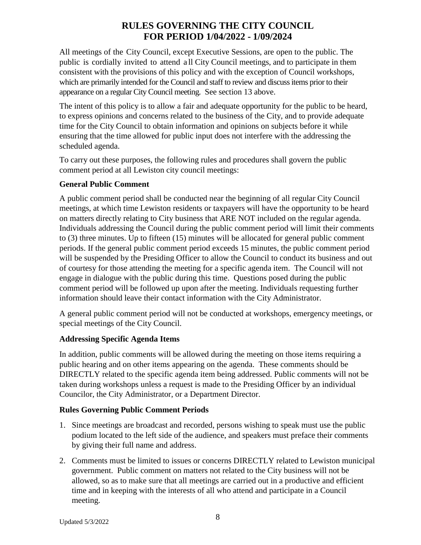All meetings of the City Council, except Executive Sessions, are open to the public. The public is cordially invited to attend a ll City Council meetings, and to participate in them consistent with the provisions of this policy and with the exception of Council workshops, which are primarily intended for the Council and staff to review and discuss items prior to their appearance on a regular City Council meeting. See section 13 above.

The intent of this policy is to allow a fair and adequate opportunity for the public to be heard, to express opinions and concerns related to the business of the City, and to provide adequate time for the City Council to obtain information and opinions on subjects before it while ensuring that the time allowed for public input does not interfere with the addressing the scheduled agenda.

To carry out these purposes, the following rules and procedures shall govern the public comment period at all Lewiston city council meetings:

## **General Public Comment**

A public comment period shall be conducted near the beginning of all regular City Council meetings, at which time Lewiston residents or taxpayers will have the opportunity to be heard on matters directly relating to City business that ARE NOT included on the regular agenda. Individuals addressing the Council during the public comment period will limit their comments to (3) three minutes. Up to fifteen (15) minutes will be allocated for general public comment periods. If the general public comment period exceeds 15 minutes, the public comment period will be suspended by the Presiding Officer to allow the Council to conduct its business and out of courtesy for those attending the meeting for a specific agenda item. The Council will not engage in dialogue with the public during this time. Questions posed during the public comment period will be followed up upon after the meeting. Individuals requesting further information should leave their contact information with the City Administrator.

A general public comment period will not be conducted at workshops, emergency meetings, or special meetings of the City Council.

## **Addressing Specific Agenda Items**

In addition, public comments will be allowed during the meeting on those items requiring a public hearing and on other items appearing on the agenda. These comments should be DIRECTLY related to the specific agenda item being addressed. Public comments will not be taken during workshops unless a request is made to the Presiding Officer by an individual Councilor, the City Administrator, or a Department Director.

## **Rules Governing Public Comment Periods**

- 1. Since meetings are broadcast and recorded, persons wishing to speak must use the public podium located to the left side of the audience, and speakers must preface their comments by giving their full name and address.
- 2. Comments must be limited to issues or concerns DIRECTLY related to Lewiston municipal government. Public comment on matters not related to the City business will not be allowed, so as to make sure that all meetings are carried out in a productive and efficient time and in keeping with the interests of all who attend and participate in a Council meeting.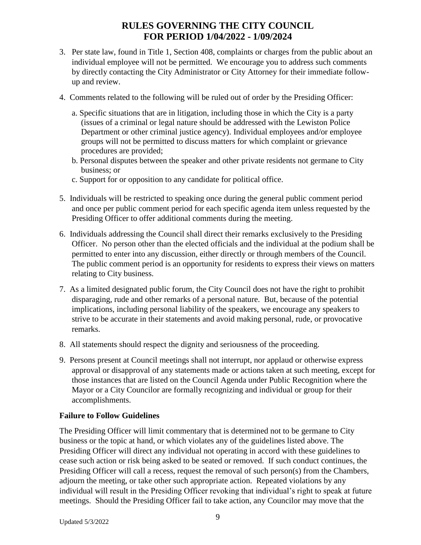- 3. Per state law, found in Title 1, Section 408, complaints or charges from the public about an individual employee will not be permitted. We encourage you to address such comments by directly contacting the City Administrator or City Attorney for their immediate followup and review.
- 4. Comments related to the following will be ruled out of order by the Presiding Officer:
	- a. Specific situations that are in litigation, including those in which the City is a party (issues of a criminal or legal nature should be addressed with the Lewiston Police Department or other criminal justice agency). Individual employees and/or employee groups will not be permitted to discuss matters for which complaint or grievance procedures are provided;
	- b. Personal disputes between the speaker and other private residents not germane to City business; or
	- c. Support for or opposition to any candidate for political office.
- 5. Individuals will be restricted to speaking once during the general public comment period and once per public comment period for each specific agenda item unless requested by the Presiding Officer to offer additional comments during the meeting.
- 6. Individuals addressing the Council shall direct their remarks exclusively to the Presiding Officer. No person other than the elected officials and the individual at the podium shall be permitted to enter into any discussion, either directly or through members of the Council. The public comment period is an opportunity for residents to express their views on matters relating to City business.
- 7. As a limited designated public forum, the City Council does not have the right to prohibit disparaging, rude and other remarks of a personal nature. But, because of the potential implications, including personal liability of the speakers, we encourage any speakers to strive to be accurate in their statements and avoid making personal, rude, or provocative remarks.
- 8. All statements should respect the dignity and seriousness of the proceeding.
- 9. Persons present at Council meetings shall not interrupt, nor applaud or otherwise express approval or disapproval of any statements made or actions taken at such meeting, except for those instances that are listed on the Council Agenda under Public Recognition where the Mayor or a City Councilor are formally recognizing and individual or group for their accomplishments.

# **Failure to Follow Guidelines**

The Presiding Officer will limit commentary that is determined not to be germane to City business or the topic at hand, or which violates any of the guidelines listed above. The Presiding Officer will direct any individual not operating in accord with these guidelines to cease such action or risk being asked to be seated or removed. If such conduct continues, the Presiding Officer will call a recess, request the removal of such person(s) from the Chambers, adjourn the meeting, or take other such appropriate action. Repeated violations by any individual will result in the Presiding Officer revoking that individual's right to speak at future meetings. Should the Presiding Officer fail to take action, any Councilor may move that the